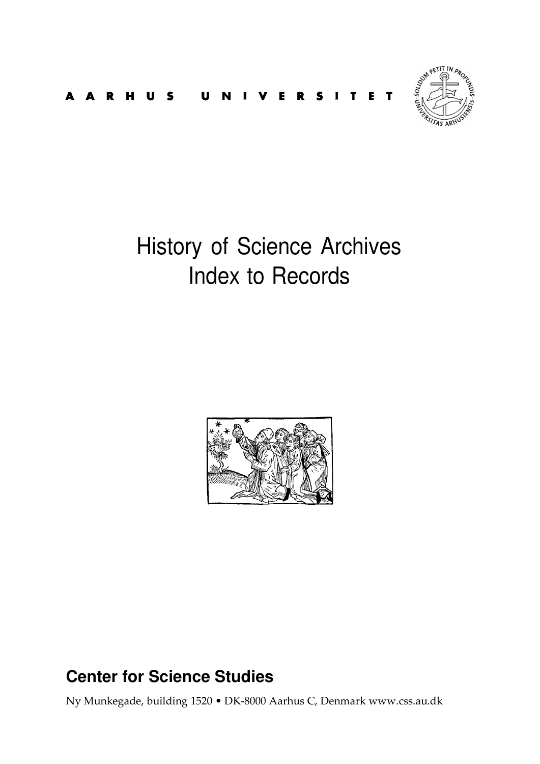



# History of Science Archives Index to Records



# **Center for Science Studies**

Ny Munkegade, building 1520 • DK-8000 Aarhus C, Denmark www.css.au.dk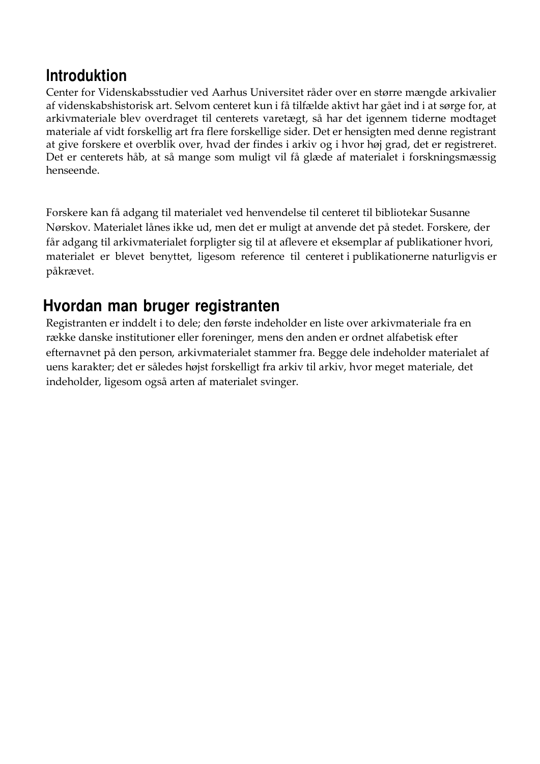# **lntroduktion**

Center for Videnskabsstudier ved Aarhus Universitet råder over en større mængde arkivalier af videnskabshistorisk art. Selvom centeret kun i få tilfælde aktivt har gået ind i at sørge for, at arkivmateriale blev overdraget til centerets varetægt, så har det igennem tiderne modtaget materiale af vidt forskellig art fra flere forskellige sider. Det er hensigten med denne registrant at give forskere et overblik over, hvad der findes i arkiv og i hvor høj grad, det er registreret. Det er centerets håb, at så mange som muligt vil få glæde af materialet i forskningsmæssig henseende.

Forskere kan få adgang til materialet ved henvendelse til centeret til bibliotekar Susanne Nørskov. Materialet lånes ikke ud, men det er muligt at anvende det på stedet. Forskere, der får adgang til arkivmaterialet forpligter sig til at aflevere et eksemplar af publikationer hvori, materialet er blevet benyttet, ligesom reference til centeret i publikationerne naturligvis er påkrævet.

# **Hvordan man bruger registranten**

Registranten er inddelt i to dele; den første indeholder en liste over arkivmateriale fra en række danske institutioner eller foreninger, mens den anden er ordnet alfabetisk efter efternavnet på den person, arkivmaterialet stammer fra. Begge dele indeholder materialet af uens karakter; det er således højst forskelligt fra arkiv til arkiv, hvor meget materiale, det indeholder, ligesom også arten af materialet svinger.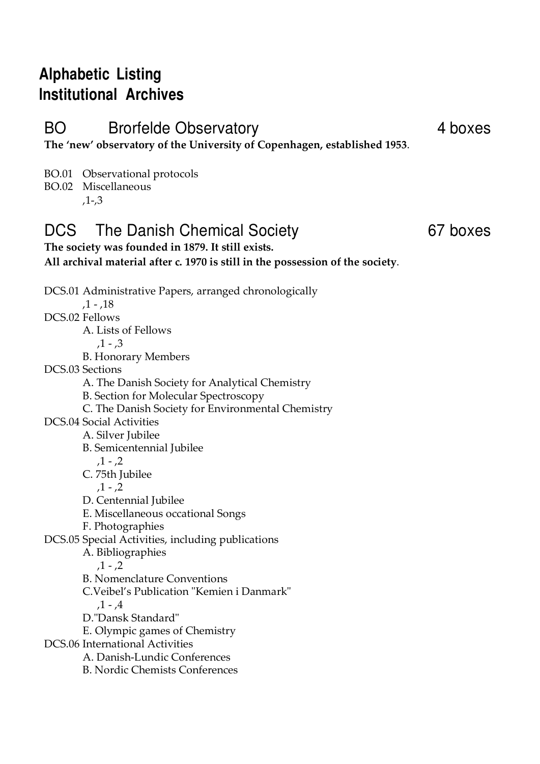# **Alphabetic Listing lnstitutional Archives**

BO Brorfelde Observatory **4 boxes** 

**The 'new' observatory of the University of Copenhagen, established 1953**.

**All archival material after c. 1970 is still in the possession of the society**.

BO.01 Observational protocols

BO.02 Miscellaneous

,1-,3

### DCS The Danish Chemical Society 67 boxes **The society was founded in 1879. It still exists.**

DCS.01 Administrative Papers, arranged chronologically  $,1 - .18$ DCS.02 Fellows A. Lists of Fellows  $.1 - .3$ B. Honorary Members DCS.03 Sections A. The Danish Society for Analytical Chemistry B. Section for Molecular Spectroscopy C. The Danish Society for Environmental Chemistry DCS.04 Social Activities A. Silver Jubilee B. Semicentennial Jubilee  $,1 - 2$ C. 75th Jubilee  $,1 - 2$ D. Centennial Jubilee E. Miscellaneous occational Songs F. Photographies DCS.05 Special Activities, including publications A. Bibliographies  $,1 - 2$ B. Nomenclature Conventions C.Veibel's Publication "Kemien i Danmark"  $.1 - .4$ D."Dansk Standard" E. Olympic games of Chemistry DCS.06 International Activities A. Danish-Lundic Conferences B. Nordic Chemists Conferences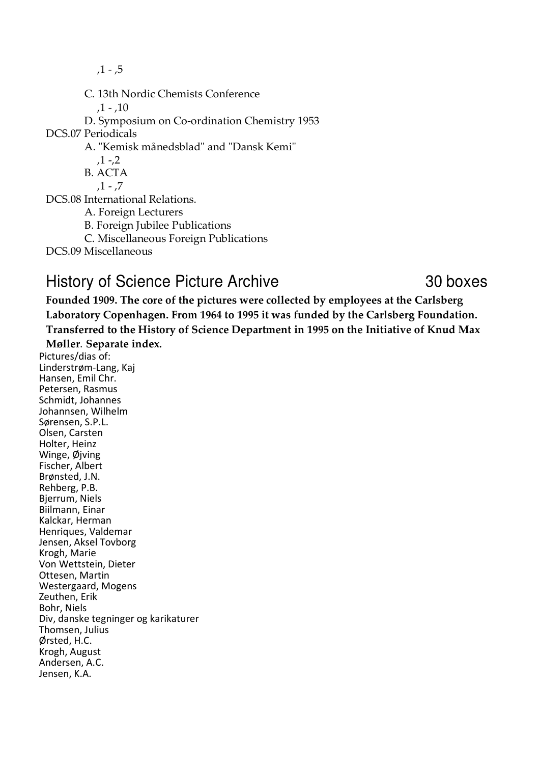$,1 - 5$ 

C. 13th Nordic Chemists Conference

 $,1 -$ , 10

D. Symposium on Co-ordination Chemistry 1953

DCS.07 Periodicals

A. "Kemisk månedsblad" and "Dansk Kemi"

 $,1 -2$ 

B. ACTA

 $.1 - .7$ 

DCS.08 International Relations.

A. Foreign Lecturers

B. Foreign Jubilee Publications

C. Miscellaneous Foreign Publications

DCS.09 Miscellaneous

## History of Science Picture Archive 30 boxes

**Founded 1909. The core of the pictures were collected by employees at the Carlsberg Laboratory Copenhagen. From 1964 to 1995 it was funded by the Carlsberg Foundation. Transferred to the History of Science Department in 1995 on the Initiative of Knud Max** 

**Møller**. **Separate index.**

Pictures/dias of: Linderstrøm-Lang, Kaj Hansen, Emil Chr. Petersen, Rasmus Schmidt, Johannes Johannsen, Wilhelm Sørensen, S.P.L. Olsen, Carsten Holter, Heinz Winge, Øjving Fischer, Albert Brønsted, J.N. Rehberg, P.B. Bjerrum, Niels Biilmann, Einar Kalckar, Herman Henriques, Valdemar Jensen, Aksel Tovborg Krogh, Marie Von Wettstein, Dieter Ottesen, Martin Westergaard, Mogens Zeuthen, Erik Bohr, Niels Div, danske tegninger og karikaturer Thomsen, Julius Ørsted, H.C. Krogh, August Andersen, A.C. Jensen, K.A.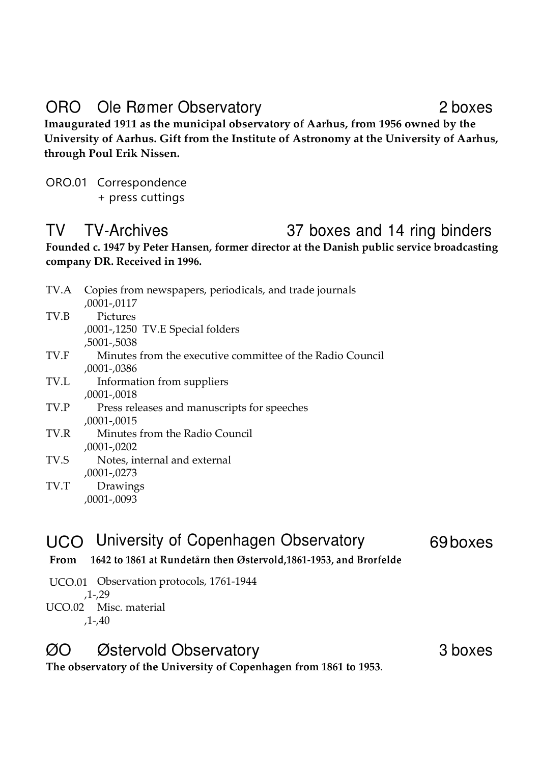# ORO Ole Rømer Observatory 2 boxes

**Imaugurated 1911 as the municipal observatory of Aarhus, from 1956 owned by the University of Aarhus. Gift from the Institute of Astronomy at the University of Aarhus, through Poul Erik Nissen.** 

ORO.01 Correspondence + press cuttings

# TV TV-Archives 37 boxes and 14 ring binders

**Founded c. 1947 by Peter Hansen, former director at the Danish public service broadcasting company DR. Received in 1996.** 

| TV.A | Copies from newspapers, periodicals, and trade journals   |
|------|-----------------------------------------------------------|
|      | $,0001$ - $,0117$                                         |
| TV.B | Pictures                                                  |
|      | ,0001-,1250 TV.E Special folders                          |
|      | ,5001-,5038                                               |
| TV.F | Minutes from the executive committee of the Radio Council |
|      | ,0001-,0386                                               |
| TV.L | Information from suppliers                                |
|      | ,0001-,0018                                               |
| TV.P | Press releases and manuscripts for speeches               |
|      | ,0001-,0015                                               |
| TV.R | Minutes from the Radio Council                            |
|      | ,0001-,0202                                               |
| TV.S | Notes, internal and external                              |
|      | ,0001-,0273                                               |
| TV.T | Drawings                                                  |
|      | ,0001-,0093                                               |

## UCO University of Copenhagen Observatory 69 boxes

- **From 1642 to 1861 at Rundetårn then Østervold,1861-1953, and Brorfelde**
- UCO.01 Observation protocols, 1761-1944 ,1-,29 UCO.02 Misc. material ,1-,40

## ØO Østervold Observatory 3 boxes

**The observatory of the University of Copenhagen from 1861 to 1953**.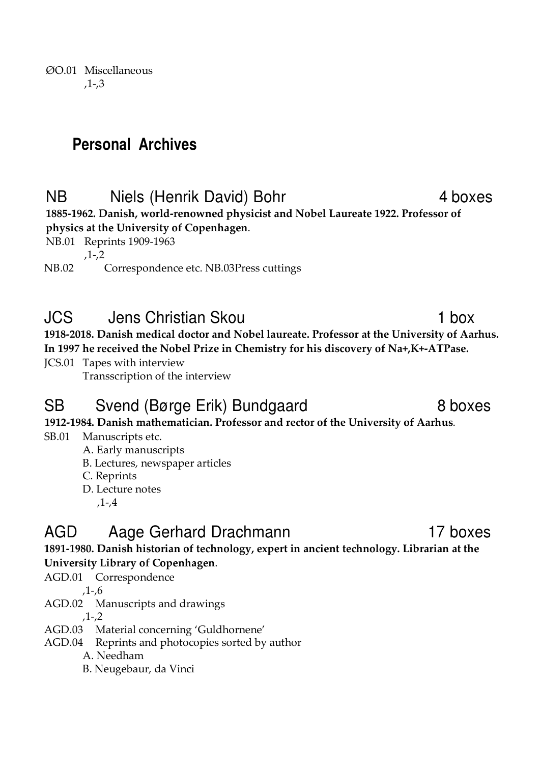ØO.01 Miscellaneous ,1-,3

# **Personal Archives**

# NB Niels (Henrik David) Bohr 4 boxes

**1885-1962. Danish, world-renowned physicist and Nobel Laureate 1922. Professor of physics at the University of Copenhagen**.

NB.01 Reprints 1909-1963

,1-,2

NB.02 Correspondence etc. NB.03 Press cuttings

## JCS Jens Christian Skou 1 box

**1918-2018. Danish medical doctor and Nobel laureate. Professor at the University of Aarhus. In 1997 he received the Nobel Prize in Chemistry for his discovery of Na+,K+-ATPase.** 

JCS.01 Tapes with interview

Transscription of the interview

## SB Svend (Børge Erik) Bundgaard 8 boxes

**1912-1984. Danish mathematician. Professor and rector of the University of Aarhus**.

### SB.01 Manuscripts etc.

A. Early manuscripts

B. Lectures, newspaper articles

C. Reprints

D. Lecture notes

,1-,4

# AGD Aage Gerhard Drachmann 17 boxes

**1891-1980. Danish historian of technology, expert in ancient technology. Librarian at the University Library of Copenhagen**.

AGD.01 Correspondence

,1-,6

AGD.02 Manuscripts and drawings

,1-,2

- AGD.03 Material concerning 'Guldhornene'
- AGD.04 Reprints and photocopies sorted by author
	- A. Needham

B. Neugebaur, da Vinci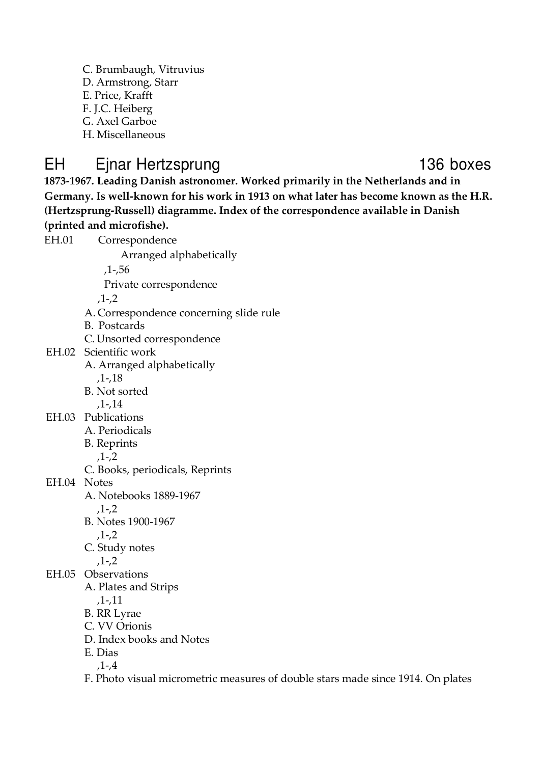- C. Brumbaugh, Vitruvius D. Armstrong, Starr
- E. Price, Krafft
- F. J.C. Heiberg
- G. Axel Garboe
- H. Miscellaneous

# EH Ejnar Hertzsprung 136 boxes

**1873-1967. Leading Danish astronomer. Worked primarily in the Netherlands and in Germany. Is well-known for his work in 1913 on what later has become known as the H.R. (Hertzsprung-Russell) diagramme. Index of the correspondence available in Danish (printed and microfishe).** 

| EH.01       | Correspondence                                                                  |
|-------------|---------------------------------------------------------------------------------|
|             | Arranged alphabetically                                                         |
|             | ,1-,56                                                                          |
|             | Private correspondence                                                          |
|             | $,1 - 2$                                                                        |
|             | A. Correspondence concerning slide rule                                         |
|             | <b>B.</b> Postcards                                                             |
|             | C. Unsorted correspondence                                                      |
|             | EH.02 Scientific work                                                           |
|             | A. Arranged alphabetically                                                      |
|             | $,1-.18$                                                                        |
|             | B. Not sorted                                                                   |
|             | $,1-.14$                                                                        |
|             | EH.03 Publications                                                              |
|             | A. Periodicals                                                                  |
|             | <b>B.</b> Reprints                                                              |
|             | $,1 - 2$                                                                        |
|             | C. Books, periodicals, Reprints                                                 |
| EH.04 Notes |                                                                                 |
|             | A. Notebooks 1889-1967                                                          |
|             | $,1 - 2$                                                                        |
|             | B. Notes 1900-1967                                                              |
|             | $,1 -2$                                                                         |
|             | C. Study notes<br>$,1 - 2$                                                      |
|             | EH.05 Observations                                                              |
|             | A. Plates and Strips                                                            |
|             | ,1-,11                                                                          |
|             | <b>B.</b> RR Lyrae                                                              |
|             | C. VV Orionis                                                                   |
|             | D. Index books and Notes                                                        |
|             | E. Dias                                                                         |
|             | $,1-4$                                                                          |
|             | F. Photo visual micrometric measures of double stars made since 1914. On plates |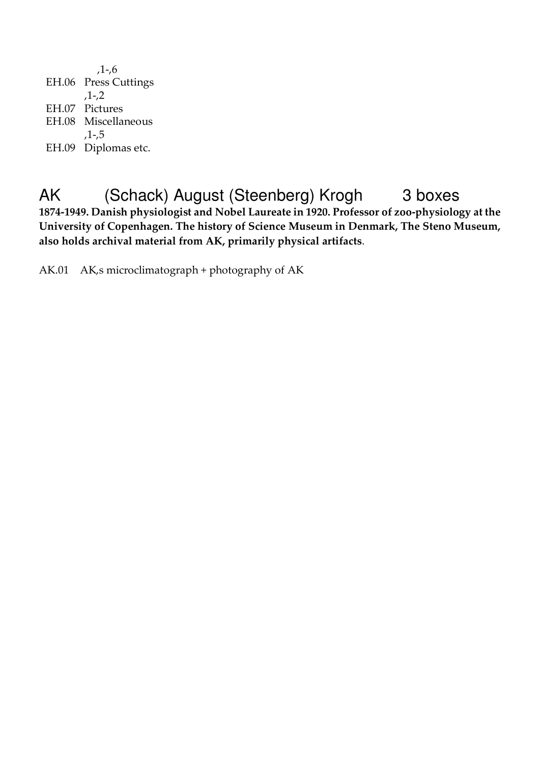,1-,6 EH.06 Press Cuttings ,1-,2 EH.07 Pictures EH.08 Miscellaneous ,1-,5 EH.09 Diplomas etc.

# AK (Schack) August (Steenberg) Krogh 3 boxes

**1874-1949. Danish physiologist and Nobel Laureate in 1920. Professor of zoo-physiology at the University of Copenhagen. The history of Science Museum in Denmark, The Steno Museum, also holds archival material from AK, primarily physical artifacts**.

AK.01 AK,s microclimatograph + photography of AK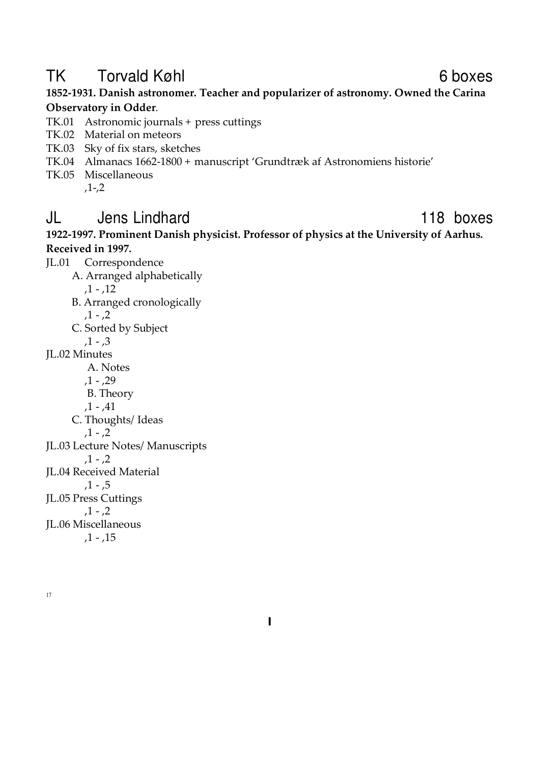# TK Torvald Køhl **TK** 6 boxes

**1852-1931. Danish astronomer. Teacher and popularizer of astronomy. Owned the Carina Observatory in Odder**.

- TK.01 Astronomic journals + press cuttings
- TK.02 Material on meteors
- TK.03 Sky of fix stars, sketches
- TK.04 Almanacs 1662-1800 + manuscript 'Grundtræk af Astronomiens historie'
- TK.05 Miscellaneous ,1-,2

### JL Jens Lindhard 118 boxes

**1922-1997. Prominent Danish physicist. Professor of physics at the University of Aarhus. Received in 1997.** 

- JL.01 Correspondence A. Arranged alphabetically
	- $,1 12$
	- B. Arranged cronologically
		- $,1 2$
	- C. Sorted by Subject
		- $,1 3$
- JL.02 Minutes
	- A. Notes
	- $,1 29$
	- B. Theory
	- $,1 .41$
	- C. Thoughts/ Ideas

$$
,1-,2
$$

- JL.03 Lecture Notes/ Manuscripts
	- $,1 2$
- JL.04 Received Material
	- $,1 .5$
- JL.05 Press Cuttings
	- $,1 0.2$
- JL.06 Miscellaneous  $,1 -$ , 15
- 17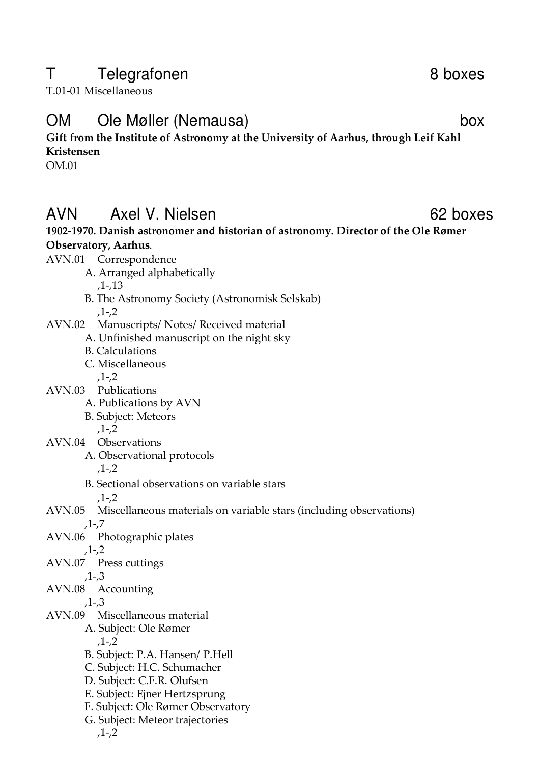## T Telegrafonen 8 boxes

T.01-01 Miscellaneous

## OM Ole Møller (Nemausa) box

### **Gift from the Institute of Astronomy at the University of Aarhus, through Leif Kahl Kristensen**

OM.01

## AVN Axel V. Nielsen 62 boxes

### **1902-1970. Danish astronomer and historian of astronomy. Director of the Ole Rømer Observatory, Aarhus**.

AVN.01 Correspondence

A. Arranged alphabetically

,1-,13

- B. The Astronomy Society (Astronomisk Selskab) ,1-,2
- AVN.02 Manuscripts/ Notes/ Received material
	- A. Unfinished manuscript on the night sky
	- B. Calculations
	- C. Miscellaneous ,1-,2
- AVN.03 Publications
	- A. Publications by AVN
	- B. Subject: Meteors

,1-,2

- AVN.04 Observations
	- A. Observational protocols ,1-,2

- B. Sectional observations on variable stars
	- $.1 .2$
- AVN.05 Miscellaneous materials on variable stars (including observations) ,1-,7
- AVN.06 Photographic plates
	- ,1-,2
- AVN.07 Press cuttings

,1-,3

AVN.08 Accounting

,1-,3

- AVN.09 Miscellaneous material
	- A. Subject: Ole Rømer
		- $.1 .2$
	- B. Subject: P.A. Hansen/ P.Hell
	- C. Subject: H.C. Schumacher
	- D. Subject: C.F.R. Olufsen
	- E. Subject: Ejner Hertzsprung
	- F. Subject: Ole Rømer Observatory
	- G. Subject: Meteor trajectories

,1-,2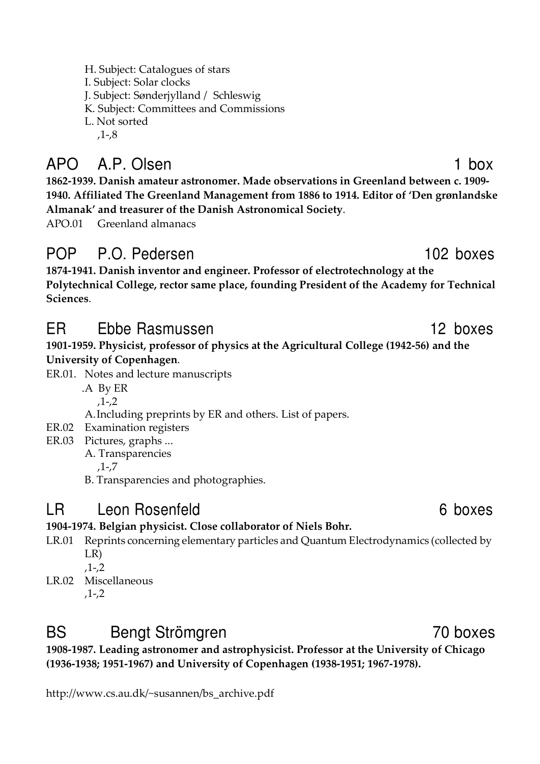H. Subject: Catalogues of stars I. Subject: Solar clocks J. Subject: Sønderjylland / Schleswig K. Subject: Committees and Commissions L. Not sorted ,1-,8

# APO A.P. Olsen 1 box

**1862-1939. Danish amateur astronomer. Made observations in Greenland between c. 1909- 1940. Affiliated The Greenland Management from 1886 to 1914. Editor of 'Den grønlandske Almanak' and treasurer of the Danish Astronomical Society**.

APO.01 Greenland almanacs

# POP P.O. Pedersen 102 boxes

**1874-1941. Danish inventor and engineer. Professor of electrotechnology at the Polytechnical College, rector same place, founding President of the Academy for Technical Sciences**.

# ER Ebbe Rasmussen 12 boxes

### **1901-1959. Physicist, professor of physics at the Agricultural College (1942-56) and the University of Copenhagen**.

- ER.01. Notes and lecture manuscripts
	- .A By ER ,1-,2
	- A.Including preprints by ER and others. List of papers.
- ER.02 Examination registers
- ER.03 Pictures, graphs ...
	- A. Transparencies
		- ,1-,7
	- B. Transparencies and photographies.

# LR Leon Rosenfeld 6 boxes

### **1904-1974. Belgian physicist. Close collaborator of Niels Bohr.**

- LR.01 Reprints concerning elementary particles and Quantum Electrodynamics (collected by LR)
	- ,1-,2
- LR.02 Miscellaneous ,1-,2

# BS Bengt Strömgren 70 boxes

**1908-1987. Leading astronomer and astrophysicist. Professor at the University of Chicago (1936-1938; 1951-1967) and University of Copenhagen (1938-1951; 1967-1978).** 

http://www.cs.au.dk/~susannen/bs\_archive.pdf